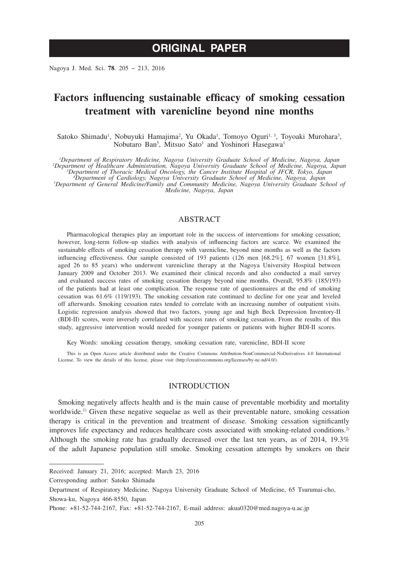# **ORIGINAL PAPER**

Nagoya J. Med. Sci. **78**. 205 ~ 213, 2016

# **Factors influencing sustainable efficacy of smoking cessation treatment with varenicline beyond nine months**

Satoko Shimadu<sup>1</sup>, Nobuyuki Hamajima<sup>2</sup>, Yu Okada<sup>1</sup>, Tomoyo Oguri<sup>1, 3</sup>, Toyoaki Murohara<sup>3</sup>, Nobutaro Ban<sup>5</sup>, Mitsuo Sato<sup>1</sup> and Yoshinori Hasegawa<sup>1</sup>

<sup>1</sup>Department of Respiratory Medicine, Nagoya University Graduate School of Medicine, Nagoya, Japan<br><sup>2</sup>Department of Healthcare Administration, Nagoya University Graduate School of Medicine, Nagoya, Japan<sup>3</sup><br><sup>3</sup>Department

*Department of Cardiology, Nagoya University Graduate School of Medicine, Nagoya, Japan <sup>5</sup> Department of General Medicine/Family and Community Medicine, Nagoya University Graduate School of Medicine, Nagoya, Japan*

## ABSTRACT

Pharmacological therapies play an important role in the success of interventions for smoking cessation; however, long-term follow-up studies with analysis of influencing factors are scarce. We examined the sustainable effects of smoking cessation therapy with varenicline, beyond nine months as well as the factors influencing effectiveness. Our sample consisted of 193 patients (126 men [68.2%], 67 women [31.8%], aged 26 to 85 years) who underwent varenicline therapy at the Nagoya University Hospital between January 2009 and October 2013. We examined their clinical records and also conducted a mail survey and evaluated success rates of smoking cessation therapy beyond nine months. Overall, 95.8% (185/193) of the patients had at least one complication. The response rate of questionnaires at the end of smoking cessation was 61.6% (119/193). The smoking cessation rate continued to decline for one year and leveled off afterwards. Smoking cessation rates tended to correlate with an increasing number of outpatient visits. Logistic regression analysis showed that two factors, young age and high Beck Depression Inventory-II (BDI-II) scores, were inversely correlated with success rates of smoking cessation. From the results of this study, aggressive intervention would needed for younger patients or patients with higher BDI-II scores.

Key Words: smoking cessation therapy, smoking cessation rate, varenicline, BDI-II score

This is an Open Access article distributed under the Creative Commons Attribution-NonCommercial-NoDerivatives 4.0 International License. To view the details of this license, please visit (http://creativecommons.org/licenses/by-nc-nd/4.0/).

# INTRODUCTION

Smoking negatively affects health and is the main cause of preventable morbidity and mortality worldwide.<sup>1)</sup> Given these negative sequelae as well as their preventable nature, smoking cessation therapy is critical in the prevention and treatment of disease. Smoking cessation significantly improves life expectancy and reduces healthcare costs associated with smoking-related conditions.<sup>2)</sup> Although the smoking rate has gradually decreased over the last ten years, as of 2014, 19.3% of the adult Japanese population still smoke. Smoking cessation attempts by smokers on their

Corresponding author: Satoko Shimadu

Received: January 21, 2016; accepted: March 23, 2016

Department of Respiratory Medicine, Nagoya University Graduate School of Medicine, 65 Tsurumai-cho, Showa-ku, Nagoya 466-8550, Japan

Phone: +81-52-744-2167, Fax: +81-52-744-2167, E-mail address: akua0320@med.nagoya-u.ac.jp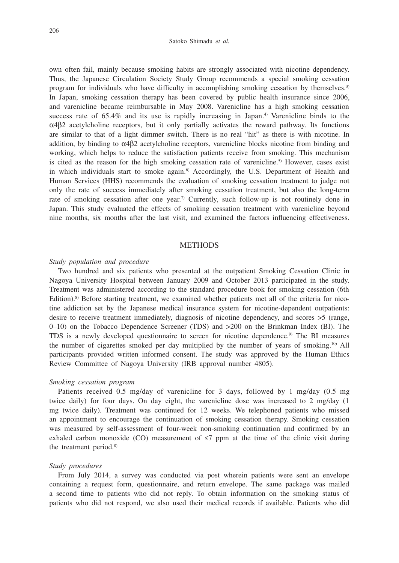#### Satoko Shimadu *et al.*

own often fail, mainly because smoking habits are strongly associated with nicotine dependency. Thus, the Japanese Circulation Society Study Group recommends a special smoking cessation program for individuals who have difficulty in accomplishing smoking cessation by themselves.3) In Japan, smoking cessation therapy has been covered by public health insurance since 2006, and varenicline became reimbursable in May 2008. Varenicline has a high smoking cessation success rate of 65.4% and its use is rapidly increasing in Japan.<sup>4)</sup> Varenicline binds to the  $\alpha$ 4β2 acetylcholine receptors, but it only partially activates the reward pathway. Its functions are similar to that of a light dimmer switch. There is no real "hit" as there is with nicotine. In addition, by binding to  $\alpha$ 4 $\beta$ 2 acetylcholine receptors, varenicline blocks nicotine from binding and working, which helps to reduce the satisfaction patients receive from smoking. This mechanism is cited as the reason for the high smoking cessation rate of varenicline.<sup>5)</sup> However, cases exist in which individuals start to smoke again.<sup>6)</sup> Accordingly, the U.S. Department of Health and Human Services (HHS) recommends the evaluation of smoking cessation treatment to judge not only the rate of success immediately after smoking cessation treatment, but also the long-term rate of smoking cessation after one year.<sup>7)</sup> Currently, such follow-up is not routinely done in Japan. This study evaluated the effects of smoking cessation treatment with varenicline beyond nine months, six months after the last visit, and examined the factors influencing effectiveness.

## **METHODS**

### *Study population and procedure*

Two hundred and six patients who presented at the outpatient Smoking Cessation Clinic in Nagoya University Hospital between January 2009 and October 2013 participated in the study. Treatment was administered according to the standard procedure book for smoking cessation (6th Edition).<sup>8)</sup> Before starting treatment, we examined whether patients met all of the criteria for nicotine addiction set by the Japanese medical insurance system for nicotine-dependent outpatients: desire to receive treatment immediately, diagnosis of nicotine dependency, and scores >5 (range, 0–10) on the Tobacco Dependence Screener (TDS) and >200 on the Brinkman Index (BI). The TDS is a newly developed questionnaire to screen for nicotine dependence.<sup>9)</sup> The BI measures the number of cigarettes smoked per day multiplied by the number of years of smoking.<sup>10)</sup> All participants provided written informed consent. The study was approved by the Human Ethics Review Committee of Nagoya University (IRB approval number 4805).

### *Smoking cessation program*

Patients received 0.5 mg/day of varenicline for 3 days, followed by 1 mg/day (0.5 mg twice daily) for four days. On day eight, the varenicline dose was increased to 2 mg/day (1 mg twice daily). Treatment was continued for 12 weeks. We telephoned patients who missed an appointment to encourage the continuation of smoking cessation therapy. Smoking cessation was measured by self-assessment of four-week non-smoking continuation and confirmed by an exhaled carbon monoxide (CO) measurement of  $\leq$ 7 ppm at the time of the clinic visit during the treatment period.<sup>8)</sup>

#### *Study procedures*

From July 2014, a survey was conducted via post wherein patients were sent an envelope containing a request form, questionnaire, and return envelope. The same package was mailed a second time to patients who did not reply. To obtain information on the smoking status of patients who did not respond, we also used their medical records if available. Patients who did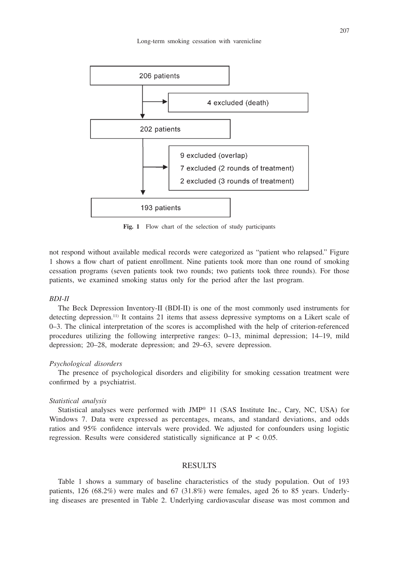

Fig. 1 Flow chart of the selection of study participants

not respond without available medical records were categorized as "patient who relapsed." Figure 1 shows a flow chart of patient enrollment. Nine patients took more than one round of smoking cessation programs (seven patients took two rounds; two patients took three rounds). For those patients, we examined smoking status only for the period after the last program.

### *BDI-II*

The Beck Depression Inventory-II (BDI-II) is one of the most commonly used instruments for detecting depression.<sup>11)</sup> It contains 21 items that assess depressive symptoms on a Likert scale of 0–3. The clinical interpretation of the scores is accomplished with the help of criterion-referenced procedures utilizing the following interpretive ranges: 0–13, minimal depression; 14–19, mild depression; 20–28, moderate depression; and 29–63, severe depression.

#### *Psychological disorders*

The presence of psychological disorders and eligibility for smoking cessation treatment were confirmed by a psychiatrist.

## *Statistical analysis*

Statistical analyses were performed with  $JMP^{\otimes}$  11 (SAS Institute Inc., Cary, NC, USA) for Windows 7. Data were expressed as percentages, means, and standard deviations, and odds ratios and 95% confidence intervals were provided. We adjusted for confounders using logistic regression. Results were considered statistically significance at  $P < 0.05$ .

#### RESULTS

Table 1 shows a summary of baseline characteristics of the study population. Out of 193 patients, 126 (68.2%) were males and 67 (31.8%) were females, aged 26 to 85 years. Underlying diseases are presented in Table 2. Underlying cardiovascular disease was most common and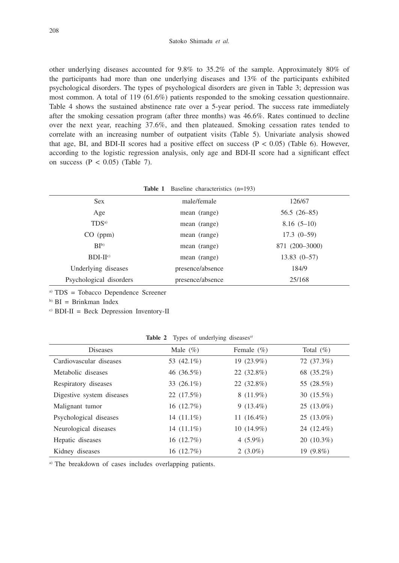other underlying diseases accounted for 9.8% to 35.2% of the sample. Approximately 80% of the participants had more than one underlying diseases and 13% of the participants exhibited psychological disorders. The types of psychological disorders are given in Table 3; depression was most common. A total of 119 (61.6%) patients responded to the smoking cessation questionnaire. Table 4 shows the sustained abstinence rate over a 5-year period. The success rate immediately after the smoking cessation program (after three months) was 46.6%. Rates continued to decline over the next year, reaching 37.6%, and then plateaued. Smoking cessation rates tended to correlate with an increasing number of outpatient visits (Table 5). Univariate analysis showed that age, BI, and BDI-II scores had a positive effect on success  $(P < 0.05)$  (Table 6). However, according to the logistic regression analysis, only age and BDI-II score had a significant effect on success  $(P < 0.05)$  (Table 7).

|                         | <b>Table 1</b> Baseline characteristics (n=193) |                |
|-------------------------|-------------------------------------------------|----------------|
| <b>Sex</b>              | male/female                                     | 126/67         |
| Age                     | mean (range)                                    | $56.5(26-85)$  |
| TDS <sub>a</sub>        | mean (range)                                    | $8.16(5-10)$   |
| $CO$ (ppm)              | mean (range)                                    | $17.3(0-59)$   |
| BI <sub>b</sub>         | mean (range)                                    | 871 (200-3000) |
| $BDI-IIc$               | mean (range)                                    | $13.83(0-57)$  |
| Underlying diseases     | presence/absence                                | 184/9          |
| Psychological disorders | presence/absence                                | 25/168         |

a) TDS = Tobacco Dependence Screener

 $b)$  BI = Brinkman Index

 $\text{CDI}-II$  = Beck Depression Inventory-II

Table 2 Types of underlying diseases<sup>a)</sup>

| Male $(\%)$   | Female $(\% )$ | Total $(\%)$ |
|---------------|----------------|--------------|
| 53 (42.1%)    | 19 (23.9%)     | 72 (37.3%)   |
| 46 (36.5%)    | 22 (32.8%)     | 68 (35.2%)   |
| 33 $(26.1\%)$ | 22 (32.8%)     | 55 (28.5%)   |
| 22 (17.5%)    | $8(11.9\%)$    | $30(15.5\%)$ |
| 16(12.7%)     | $9(13.4\%)$    | $25(13.0\%)$ |
| 14 $(11.1\%)$ | 11 $(16.4\%)$  | $25(13.0\%)$ |
| 14 $(11.1\%)$ | $10(14.9\%)$   | 24 (12.4%)   |
| 16(12.7%)     | 4 $(5.9\%)$    | $20(10.3\%)$ |
| 16(12.7%)     | 2 $(3.0\%)$    | $19(9.8\%)$  |
|               |                |              |

a) The breakdown of cases includes overlapping patients.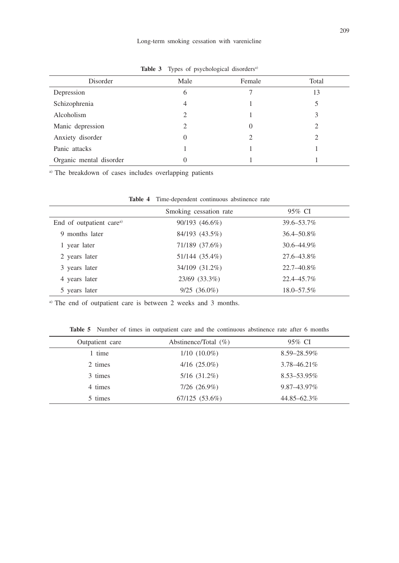| Disorder                | Male     | Female | Total |
|-------------------------|----------|--------|-------|
| Depression              | 6        |        | 13    |
| Schizophrenia           | 4        |        |       |
| Alcoholism              | ↑        |        |       |
| Manic depression        | っ        | 0      | ာ     |
| Anxiety disorder        | $\theta$ | 2      |       |
| Panic attacks           |          |        |       |
| Organic mental disorder |          |        |       |

Table 3 Types of psychological disorders<sup>a)</sup>

a) The breakdown of cases includes overlapping patients

|                                      | Smoking cessation rate | 95% CI     |
|--------------------------------------|------------------------|------------|
| End of outpatient care <sup>a)</sup> | 90/193 (46.6%)         | 39.6–53.7% |
| 9 months later                       | 84/193 (43.5%)         | 36.4–50.8% |
| 1 year later                         | 71/189 (37.6%)         | 30.6–44.9% |
| 2 years later                        | 51/144 (35.4%)         | 27.6–43.8% |
| 3 years later                        | 34/109 (31.2%)         | 22.7–40.8% |
| 4 years later                        | 23/69 (33.3%)          | 22.4–45.7% |
| 5 years later                        | $9/25$ $(36.0\%)$      | 18.0–57.5% |

**Table 4** Time-dependent continuous abstinence rate

<sup>a)</sup> The end of outpatient care is between 2 weeks and 3 months.

**Table 5** Number of times in outpatient care and the continuous abstinence rate after 6 months

| Outpatient care | Abstinence/Total $(\% )$ | 95% CI           |
|-----------------|--------------------------|------------------|
| 1 time          | $1/10(10.0\%)$           | 8.59-28.59%      |
| 2 times         | $4/16$ $(25.0\%)$        | $3.78 - 46.21\%$ |
| 3 times         | $5/16$ $(31.2\%)$        | 8.53–53.95%      |
| 4 times         | $7/26$ $(26.9\%)$        | 9.87–43.97%      |
| 5 times         | 67/125(53.6%)            | 44.85 - 62.3%    |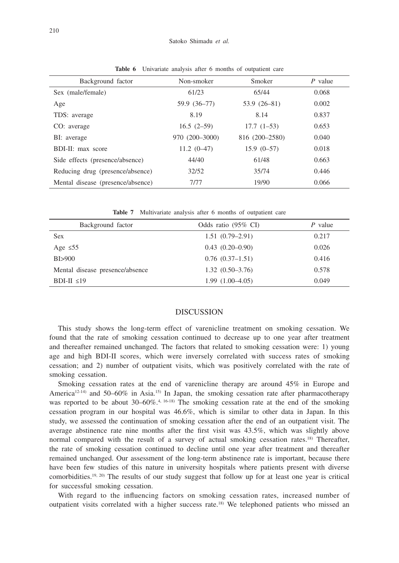| Background factor                 | Non-smoker     | Smoker         | $P$ value |
|-----------------------------------|----------------|----------------|-----------|
| Sex (male/female)                 | 61/23          | 65/44          | 0.068     |
| Age                               | 59.9 (36-77)   | $53.9(26-81)$  | 0.002     |
| TDS: average                      | 8.19           | 8.14           | 0.837     |
| CO: average                       | $16.5(2-59)$   | $17.7(1-53)$   | 0.653     |
| BI: average                       | 970 (200-3000) | 816 (200-2580) | 0.040     |
| BDI-II: max score                 | $11.2(0-47)$   | $15.9(0-57)$   | 0.018     |
| Side effects (presence/absence)   | 44/40          | 61/48          | 0.663     |
| Reducing drug (presence/absence)  | 32/52          | 35/74          | 0.446     |
| Mental disease (presence/absence) | 7/77           | 19/90          | 0.066     |

**Table 6** Univariate analysis after 6 months of outpatient care

**Table 7** Multivariate analysis after 6 months of outpatient care

| Background factor               | Odds ratio $(95\% \text{ CI})$ | $P$ value |
|---------------------------------|--------------------------------|-----------|
| <b>Sex</b>                      | $1.51(0.79-2.91)$              | 0.217     |
| Age $\leq 55$                   | $0.43(0.20-0.90)$              | 0.026     |
| B1>900                          | $0.76(0.37-1.51)$              | 0.416     |
| Mental disease presence/absence | $1.32(0.50-3.76)$              | 0.578     |
| BDI-II $\leq$ 19                | $1.99(1.00-4.05)$              | 0.049     |

## **DISCUSSION**

This study shows the long-term effect of varenicline treatment on smoking cessation. We found that the rate of smoking cessation continued to decrease up to one year after treatment and thereafter remained unchanged. The factors that related to smoking cessation were: 1) young age and high BDI-II scores, which were inversely correlated with success rates of smoking cessation; and 2) number of outpatient visits, which was positively correlated with the rate of smoking cessation.

Smoking cessation rates at the end of varenicline therapy are around 45% in Europe and America<sup>12-14)</sup> and 50–60% in Asia.<sup>15)</sup> In Japan, the smoking cessation rate after pharmacotherapy was reported to be about 30–60%.<sup>4, 16-18)</sup> The smoking cessation rate at the end of the smoking cessation program in our hospital was 46.6%, which is similar to other data in Japan. In this study, we assessed the continuation of smoking cessation after the end of an outpatient visit. The average abstinence rate nine months after the first visit was 43.5%, which was slightly above normal compared with the result of a survey of actual smoking cessation rates.<sup>18)</sup> Thereafter, the rate of smoking cessation continued to decline until one year after treatment and thereafter remained unchanged. Our assessment of the long-term abstinence rate is important, because there have been few studies of this nature in university hospitals where patients present with diverse comorbidities.<sup>19, 20)</sup> The results of our study suggest that follow up for at least one year is critical for successful smoking cessation.

With regard to the influencing factors on smoking cessation rates, increased number of outpatient visits correlated with a higher success rate.<sup>18)</sup> We telephoned patients who missed an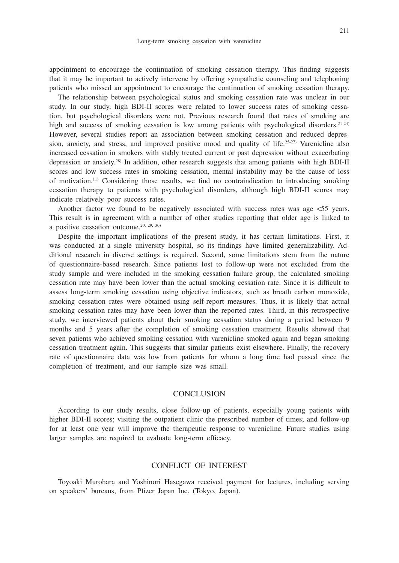appointment to encourage the continuation of smoking cessation therapy. This finding suggests that it may be important to actively intervene by offering sympathetic counseling and telephoning patients who missed an appointment to encourage the continuation of smoking cessation therapy.

The relationship between psychological status and smoking cessation rate was unclear in our study. In our study, high BDI-II scores were related to lower success rates of smoking cessation, but psychological disorders were not. Previous research found that rates of smoking are high and success of smoking cessation is low among patients with psychological disorders.<sup>21-24)</sup> However, several studies report an association between smoking cessation and reduced depression, anxiety, and stress, and improved positive mood and quality of life.<sup>25-27)</sup> Varenicline also increased cessation in smokers with stably treated current or past depression without exacerbating depression or anxiety.28) In addition, other research suggests that among patients with high BDI-II scores and low success rates in smoking cessation, mental instability may be the cause of loss of motivation.11) Considering those results, we find no contraindication to introducing smoking cessation therapy to patients with psychological disorders, although high BDI-II scores may indicate relatively poor success rates.

Another factor we found to be negatively associated with success rates was age  $\lt 55$  years. This result is in agreement with a number of other studies reporting that older age is linked to a positive cessation outcome.20, 29, 30)

Despite the important implications of the present study, it has certain limitations. First, it was conducted at a single university hospital, so its findings have limited generalizability. Additional research in diverse settings is required. Second, some limitations stem from the nature of questionnaire-based research. Since patients lost to follow-up were not excluded from the study sample and were included in the smoking cessation failure group, the calculated smoking cessation rate may have been lower than the actual smoking cessation rate. Since it is difficult to assess long-term smoking cessation using objective indicators, such as breath carbon monoxide, smoking cessation rates were obtained using self-report measures. Thus, it is likely that actual smoking cessation rates may have been lower than the reported rates. Third, in this retrospective study, we interviewed patients about their smoking cessation status during a period between 9 months and 5 years after the completion of smoking cessation treatment. Results showed that seven patients who achieved smoking cessation with varenicline smoked again and began smoking cessation treatment again. This suggests that similar patients exist elsewhere. Finally, the recovery rate of questionnaire data was low from patients for whom a long time had passed since the completion of treatment, and our sample size was small.

# **CONCLUSION**

According to our study results, close follow-up of patients, especially young patients with higher BDI-II scores; visiting the outpatient clinic the prescribed number of times; and follow-up for at least one year will improve the therapeutic response to varenicline. Future studies using larger samples are required to evaluate long-term efficacy.

## CONFLICT OF INTEREST

Toyoaki Murohara and Yoshinori Hasegawa received payment for lectures, including serving on speakers' bureaus, from Pfizer Japan Inc. (Tokyo, Japan).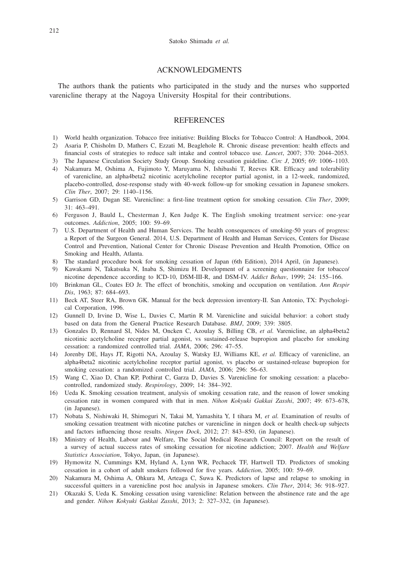## ACKNOWLEDGMENTS

The authors thank the patients who participated in the study and the nurses who supported varenicline therapy at the Nagoya University Hospital for their contributions.

## **REFERENCES**

- 1) World health organization. Tobacco free initiative: Building Blocks for Tobacco Control: A Handbook, 2004.
- 2) Asaria P, Chisholm D, Mathers C, Ezzati M, Beaglehole R. Chronic disease prevention: health effects and financial costs of strategies to reduce salt intake and control tobacco use. *Lancet*, 2007; 370: 2044–2053.
- 3) The Japanese Circulation Society Study Group. Smoking cessation guideline. *Circ J*, 2005; 69: 1006–1103.
- 4) Nakamura M, Oshima A, Fujimoto Y, Maruyama N, Ishibashi T, Reeves KR. Efficacy and tolerability of varenicline, an alpha4beta2 nicotinic acetylcholine receptor partial agonist, in a 12-week, randomized, placebo-controlled, dose-response study with 40-week follow-up for smoking cessation in Japanese smokers. *Clin Ther*, 2007; 29: 1140–1156.
- 5) Garrison GD, Dugan SE. Varenicline: a first-line treatment option for smoking cessation. *Clin Ther*, 2009; 31: 463–491.
- 6) Ferguson J, Bauld L, Chesterman J, Ken Judge K. The English smoking treatment service: one-year outcomes. *Addiction*, 2005; 100: 59–69.
- 7) U.S. Department of Health and Human Services. The health consequences of smoking-50 years of progress: a Report of the Surgeon General. 2014, U.S. Department of Health and Human Services, Centers for Disease Control and Prevention, National Center for Chronic Disease Prevention and Health Promotion, Office on Smoking and Health, Atlanta.
- 8) The standard procedure book for smoking cessation of Japan (6th Edition), 2014 April, (in Japanese).
- 9) Kawakami N, Takatsuka N, Inaba S, Shimizu H. Development of a screening questionnaire for tobacco/ nicotine dependence according to ICD-10, DSM-III-R, and DSM-IV. *Addict Behav*, 1999; 24: 155–166.
- 10) Brinkman GL, Coates EO Jr. The effect of bronchitis, smoking and occupation on ventilation. *Ann Respir Dis*, 1963; 87: 684–693.
- 11) Beck AT, Steer RA, Brown GK. Manual for the beck depression inventory-II. San Antonio, TX: Psychological Corporation, 1996.
- 12) Gunnell D, Irvine D, Wise L, Davies C, Martin R M. Varenicline and suicidal behavior: a cohort study based on data from the General Practice Research Database. *BMJ*, 2009; 339: 3805.
- 13) Gonzales D, Rennard SI, Nides M, Oncken C, Azoulay S, Billing CB, *et al.* Varenicline, an alpha4beta2 nicotinic acetylcholine receptor partial agonist, vs sustained-release bupropion and placebo for smoking cessation: a randomized controlled trial. *JAMA*, 2006; 296: 47–55.
- 14) Jorenby DE, Hays JT, Rigotti NA, Azoulay S, Watsky EJ, Williams KE, *et al.* Efficacy of varenicline, an alpha4beta2 nicotinic acetylcholine receptor partial agonist, vs placebo or sustained-release bupropion for smoking cessation: a randomized controlled trial. *JAMA*, 2006; 296: 56–63.
- 15) Wang C, Xiao D, Chan KP, Pothirat C, Garza D, Davies S. Varenicline for smoking cessation: a placebocontrolled, randomized study. *Respirology*, 2009; 14: 384–392.
- 16) Ueda K. Smoking cessation treatment, analysis of smoking cessation rate, and the reason of lower smoking cessation rate in women compared with that in men. *Nihon Kokyuki Gakkai Zasshi*, 2007; 49: 673–678, (in Japanese).
- 17) Nobata S, Nishiwaki H, Shimoguri N, Takai M, Yamashita Y, I tihara M, *et al.* Examination of results of smoking cessation treatment with nicotine patches or varenicline in ningen dock or health check-up subjects and factors influencing those results. *Ningen Dock*, 2012; 27: 843–850, (in Japanese).
- 18) Ministry of Health, Labour and Welfare, The Social Medical Research Council: Report on the result of a survey of actual success rates of smoking cessation for nicotine addiction; 2007. *Health and Welfare Statistics Association*, Tokyo, Japan, (in Japanese).
- 19) Hymowitz N, Cummings KM, Hyland A, Lynn WR, Pechacek TF, Hartwell TD. Predictors of smoking cessation in a cohort of adult smokers followed for five years. *Addiction*, 2005; 100: 59–69.
- 20) Nakamura M, Oshima A, Ohkura M, Arteaga C, Suwa K. Predictors of lapse and relapse to smoking in successful quitters in a varenicline post hoc analysis in Japanese smokers. *Clin Ther*, 2014; 36: 918–927.
- 21) Okazaki S, Ueda K. Smoking cessation using varenicline: Relation between the abstinence rate and the age and gender. *Nihon Kokyuki Gakkai Zasshi*, 2013; 2: 327–332, (in Japanese).